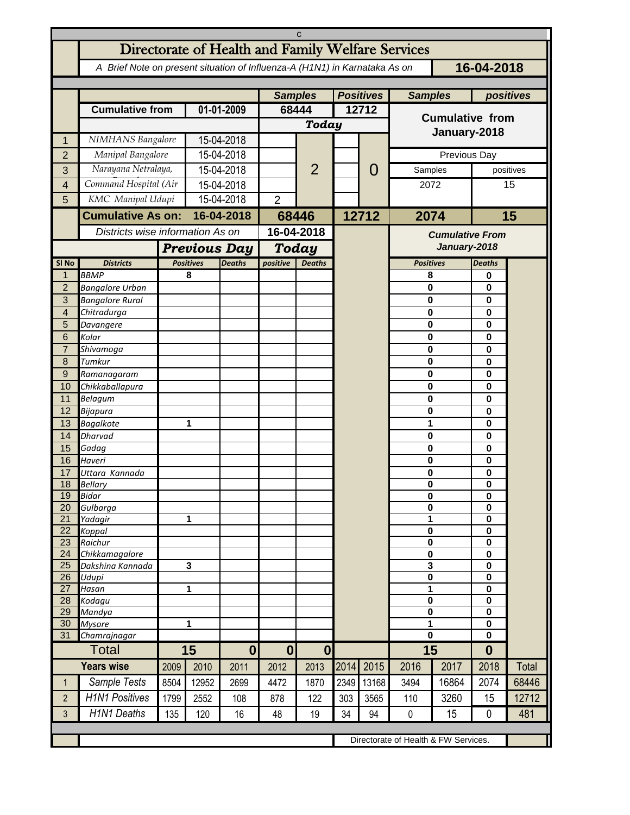| C                                    |                                                                                          |                                  |                                                          |                          |                                  |                                           |                           |            |                                          |       |                            |              |  |
|--------------------------------------|------------------------------------------------------------------------------------------|----------------------------------|----------------------------------------------------------|--------------------------|----------------------------------|-------------------------------------------|---------------------------|------------|------------------------------------------|-------|----------------------------|--------------|--|
|                                      | Directorate of Health and Family Welfare Services                                        |                                  |                                                          |                          |                                  |                                           |                           |            |                                          |       |                            |              |  |
|                                      | 16-04-2018<br>A Brief Note on present situation of Influenza-A (H1N1) in Karnataka As on |                                  |                                                          |                          |                                  |                                           |                           |            |                                          |       |                            |              |  |
|                                      | positives                                                                                |                                  |                                                          |                          |                                  |                                           |                           |            |                                          |       |                            |              |  |
|                                      | <b>Cumulative from</b>                                                                   |                                  | 01-01-2009                                               |                          | <b>Samples</b><br>68444          |                                           | <b>Positives</b><br>12712 |            | <b>Samples</b><br><b>Cumulative from</b> |       |                            |              |  |
|                                      |                                                                                          |                                  |                                                          |                          | Today                            |                                           |                           |            |                                          |       |                            |              |  |
| 1                                    | NIMHANS Bangalore                                                                        |                                  | 15-04-2018                                               |                          |                                  |                                           |                           |            | January-2018                             |       |                            |              |  |
| $\overline{2}$                       | Manipal Bangalore                                                                        |                                  | 15-04-2018                                               |                          |                                  | $\overline{2}$                            |                           | O<br>12712 | Previous Day                             |       |                            |              |  |
| 3                                    | Narayana Netralaya,                                                                      |                                  | 15-04-2018                                               |                          |                                  |                                           |                           |            | Samples                                  |       | positives                  |              |  |
| $\overline{4}$                       | Command Hospital (Air                                                                    |                                  | 15-04-2018                                               |                          |                                  |                                           |                           |            | 2072                                     |       | 15                         |              |  |
| 5                                    | KMC Manipal Udupi                                                                        |                                  | 15-04-2018                                               |                          | $\overline{2}$                   |                                           |                           |            |                                          |       |                            |              |  |
|                                      | <b>Cumulative As on:</b>                                                                 |                                  | 16-04-2018                                               |                          |                                  |                                           |                           |            | 2074                                     |       |                            | 15           |  |
|                                      |                                                                                          | Districts wise information As on |                                                          | 68446<br>16-04-2018      |                                  |                                           |                           |            | <b>Cumulative From</b><br>January-2018   |       |                            |              |  |
|                                      |                                                                                          |                                  |                                                          |                          |                                  |                                           |                           |            |                                          |       |                            |              |  |
| SI <sub>No</sub>                     | <b>Districts</b>                                                                         |                                  | <b>Previous Day</b><br><b>Positives</b><br><b>Deaths</b> |                          |                                  | <b>Today</b><br>positive<br><b>Deaths</b> |                           |            | <b>Positives</b>                         |       | <b>Deaths</b>              |              |  |
| $\mathbf{1}$                         | <b>BBMP</b>                                                                              |                                  | 8                                                        |                          |                                  |                                           |                           |            | 8                                        |       | 0                          |              |  |
| $\overline{c}$                       | <b>Bangalore Urban</b>                                                                   |                                  |                                                          |                          |                                  |                                           |                           |            | $\bf{0}$                                 |       | $\mathbf 0$                |              |  |
| 3                                    | <b>Bangalore Rural</b>                                                                   |                                  |                                                          |                          |                                  |                                           |                           |            | 0                                        |       | $\mathbf 0$                |              |  |
| $\overline{4}$                       | Chitradurga                                                                              |                                  |                                                          |                          |                                  |                                           |                           |            | $\bf{0}$                                 |       | $\mathbf 0$                |              |  |
| 5<br>6                               | Davangere<br>Kolar                                                                       |                                  |                                                          |                          |                                  |                                           |                           |            | 0<br>$\bf{0}$                            |       | $\mathbf 0$<br>$\mathbf 0$ |              |  |
| $\overline{7}$                       | Shivamoga                                                                                |                                  |                                                          |                          |                                  |                                           |                           |            | 0                                        |       | $\mathbf 0$                |              |  |
| 8                                    | Tumkur                                                                                   |                                  |                                                          |                          |                                  |                                           |                           |            | $\bf{0}$                                 |       | $\mathbf 0$                |              |  |
| 9                                    | Ramanagaram                                                                              |                                  |                                                          |                          |                                  |                                           |                           |            | 0                                        |       | $\mathbf 0$                |              |  |
| 10                                   | Chikkaballapura                                                                          |                                  |                                                          |                          |                                  |                                           |                           |            | $\bf{0}$                                 |       | $\mathbf 0$                |              |  |
| 11                                   | Belagum                                                                                  |                                  |                                                          |                          |                                  |                                           |                           |            | 0                                        |       | $\mathbf 0$                |              |  |
| 12                                   | Bijapura                                                                                 |                                  |                                                          |                          |                                  |                                           |                           |            | 0                                        |       | $\mathbf 0$                |              |  |
| 13<br>14                             | Bagalkote<br>Dharvad                                                                     |                                  | 1                                                        |                          |                                  |                                           |                           |            | 1<br>$\bf{0}$                            |       | $\mathbf 0$<br>$\mathbf 0$ |              |  |
| 15                                   | Gadag                                                                                    |                                  |                                                          |                          |                                  |                                           |                           |            | 0                                        |       | $\mathbf 0$                |              |  |
| 16                                   | Haveri                                                                                   |                                  |                                                          |                          |                                  |                                           |                           |            | 0                                        |       | $\mathbf 0$                |              |  |
| 17                                   | Uttara Kannada                                                                           |                                  |                                                          |                          |                                  |                                           |                           |            | 0                                        |       | 0                          |              |  |
| 18                                   | Bellarv                                                                                  |                                  |                                                          |                          |                                  |                                           |                           |            | $\mathbf{0}$                             |       | 0                          |              |  |
| 19<br>20                             | <b>Bidar</b><br>Gulbarga                                                                 |                                  |                                                          |                          |                                  |                                           |                           |            | 0<br>0                                   |       | 0<br>$\mathbf 0$           |              |  |
| 21                                   | Yadagir                                                                                  |                                  | 1                                                        |                          |                                  |                                           |                           |            | 1                                        |       | $\mathbf 0$                |              |  |
| 22                                   | Koppal                                                                                   |                                  |                                                          |                          |                                  |                                           |                           |            | 0                                        |       | 0                          |              |  |
| 23                                   | Raichur                                                                                  |                                  |                                                          |                          |                                  |                                           |                           |            | $\pmb{0}$                                |       | 0                          |              |  |
| 24<br>25                             | Chikkamagalore<br>Dakshina Kannada                                                       |                                  | $\mathbf{3}$                                             |                          |                                  |                                           |                           |            | $\bf{0}$<br>3                            |       | 0<br>$\mathbf 0$           |              |  |
| 26                                   | Udupi                                                                                    |                                  |                                                          |                          |                                  |                                           |                           |            | $\pmb{0}$                                |       | 0                          |              |  |
| 27                                   | Hasan                                                                                    | 1                                |                                                          |                          |                                  |                                           |                           |            | 1                                        |       | 0                          |              |  |
| 28                                   | Kodagu                                                                                   |                                  |                                                          |                          |                                  |                                           |                           |            | 0                                        |       | $\mathbf 0$                |              |  |
| 29                                   | Mandya                                                                                   | 1                                |                                                          |                          |                                  |                                           |                           |            | 0                                        |       | $\mathbf 0$<br>0           |              |  |
| 30<br>31                             | <b>Mysore</b><br>Chamrajnagar                                                            |                                  |                                                          |                          |                                  |                                           |                           |            | 1<br>$\mathbf 0$                         |       | $\mathbf 0$                |              |  |
|                                      | Total                                                                                    |                                  | 15                                                       |                          | $\mathbf{0}$<br>$\boldsymbol{0}$ |                                           |                           |            | 15                                       |       | $\bf{0}$                   |              |  |
|                                      | <b>Years wise</b>                                                                        | 2009                             | 2010                                                     | $\boldsymbol{0}$<br>2011 | 2012                             | 2013                                      | 2014                      | 2015       | 2016                                     | 2017  | 2018                       | <b>Total</b> |  |
| $\mathbf{1}$                         | Sample Tests                                                                             | 8504                             | 12952                                                    | 2699                     | 4472                             | 1870                                      | 2349                      | 13168      | 3494                                     | 16864 | 2074                       | 68446        |  |
| $\overline{2}$                       | <b>H1N1 Positives</b>                                                                    | 1799                             | 2552                                                     | 108                      | 878                              | 122                                       | 303                       | 3565       | 110                                      | 3260  | 15                         | 12712        |  |
| 3                                    | <b>H1N1 Deaths</b>                                                                       | 135                              | 120                                                      | 16                       | 48                               | 19                                        | 34                        | 94         | $\pmb{0}$                                | 15    | 0                          | 481          |  |
|                                      |                                                                                          |                                  |                                                          |                          |                                  |                                           |                           |            |                                          |       |                            |              |  |
| Directorate of Health & FW Services. |                                                                                          |                                  |                                                          |                          |                                  |                                           |                           |            |                                          |       |                            |              |  |